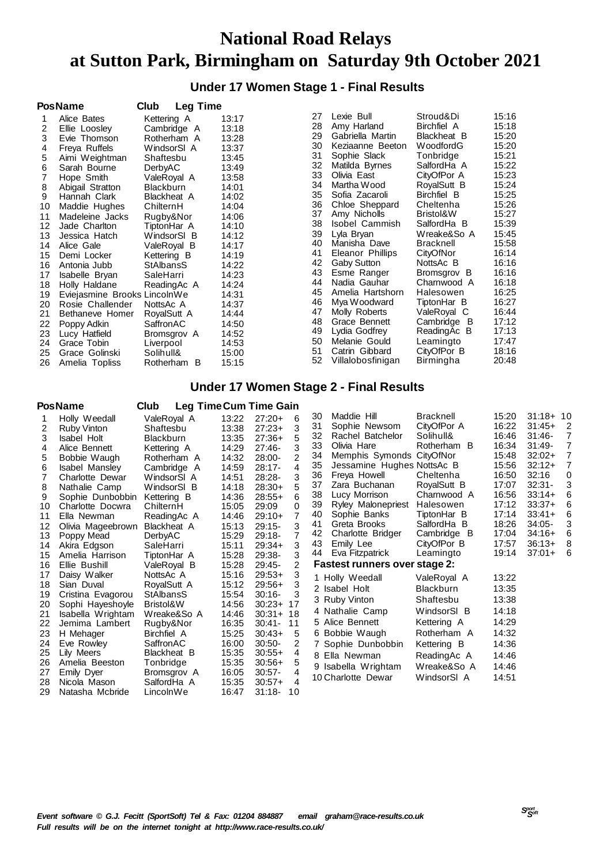## **National Road Relays at Sutton Park, Birmingham on Saturday 9th October 2021**

### **Under 17 Women Stage 1 - Final Results**

|    | <b>PosName</b>               | Club             | <b>Leg Time</b> |       |    |                   |                |       |
|----|------------------------------|------------------|-----------------|-------|----|-------------------|----------------|-------|
|    | Alice Bates                  | Kettering A      |                 | 13:17 | 27 | Lexie Bull        | Stroud&Di      | 15:16 |
| 2  | Ellie Looslev                |                  | Cambridge A     | 13:18 | 28 | Amy Harland       | Birchfiel A    | 15:18 |
| 3  | Evie Thomson                 | Rotherham A      |                 | 13:28 | 29 | Gabriella Martin  | Blackheat B    | 15:20 |
| 4  | Freya Ruffels                | WindsorSI A      |                 | 13:37 | 30 | Keziaanne Beeton  | WoodfordG      | 15:20 |
| 5  | Aimi Weightman               | Shaftesbu        |                 | 13:45 | 31 | Sophie Slack      | Tonbridge      | 15:21 |
| 6  | Sarah Bourne                 | DerbyAC          |                 | 13:49 | 32 | Matilda Byrnes    | SalfordHa A    | 15:22 |
| 7  | Hope Smith                   | ValeRoyal A      |                 | 13:58 | 33 | Olivia East       | CityOfPor A    | 15:23 |
| 8  | Abigail Stratton             | <b>Blackburn</b> |                 | 14:01 | 34 | Martha Wood       | RoyalSutt B    | 15:24 |
| 9  | Hannah Clark                 | Blackheat A      |                 | 14:02 | 35 | Sofia Zacaroli    | Birchfiel B    | 15:25 |
| 10 | Maddie Hughes                | ChilternH        |                 | 14:04 | 36 | Chloe Sheppard    | Cheltenha      | 15:26 |
| 11 | Madeleine Jacks              | Rugby&Nor        |                 | 14:06 | 37 | Amy Nicholls      | Bristol&W      | 15:27 |
| 12 | Jade Charlton                | TiptonHar A      |                 | 14:10 | 38 | Isobel Cammish    | SalfordHa B    | 15:39 |
| 13 | Jessica Hatch                | WindsorSI B      |                 | 14:12 | 39 | Lyla Bryan        | Wreake&So A    | 15:45 |
| 14 | Alice Gale                   | ValeRoyal B      |                 | 14:17 | 40 | Manisha Dave      | Bracknell      | 15:58 |
| 15 | Demi Locker                  | Kettering B      |                 | 14:19 | 41 | Eleanor Phillips  | CityOfNor      | 16:14 |
| 16 | Antonia Jubb                 | <b>StAlbansS</b> |                 | 14:22 | 42 | Gaby Sutton       | NottsAc B      | 16:16 |
| 17 | Isabelle Bryan               | SaleHarri        |                 | 14:23 | 43 | Esme Ranger       | Bromsgrov B    | 16:16 |
| 18 | Holly Haldane                | ReadingAc A      |                 | 14:24 | 44 | Nadia Gauhar      | Charnwood A    | 16:18 |
| 19 | Eviejasmine Brooks LincolnWe |                  |                 | 14:31 | 45 | Amelia Hartshorn  | Halesowen      | 16:25 |
| 20 | Rosie Challender             | NottsAc A        |                 | 14:37 | 46 | Mya Woodward      | TiptonHar B    | 16:27 |
| 21 | Bethaneve Homer              | RoyalSutt A      |                 | 14:44 | 47 | Molly Roberts     | ValeRoyal C    | 16:44 |
| 22 | Poppy Adkin                  | SaffronAC        |                 | 14:50 | 48 | Grace Bennett     | Cambridge<br>в | 17:12 |
| 23 | Lucy Hatfield                | Bromsgrov A      |                 | 14:52 | 49 | Lydia Godfrey     | ReadingAc B    | 17:13 |
| 24 | Grace Tobin                  | Liverpool        |                 | 14:53 | 50 | Melanie Gould     | Leamingto      | 17:47 |
| 25 | Grace Golinski               | Solihull&        |                 | 15:00 | 51 | Catrin Gibbard    | CityOfPor B    | 18:16 |
| 26 | Amelia Topliss               |                  | Rotherham B     | 15:15 | 52 | Villalobosfinigan | Birmingha      | 20:48 |

### **Under 17 Women Stage 2 - Final Results**

#### **PosName Club Leg TimeCum Time Gain**

|    | טווושווטט ו           | vıuw<br>Leg Three Sant Three Sant |       |           |                |    |                                      |                  |       |            |          |
|----|-----------------------|-----------------------------------|-------|-----------|----------------|----|--------------------------------------|------------------|-------|------------|----------|
|    | Holly Weedall         | ValeRoyal A                       | 13:22 | $27:20+$  | 6              | 30 | Maddie Hill                          | Bracknell        | 15:20 | $31:18+10$ |          |
| 2  | <b>Ruby Vinton</b>    | Shaftesbu                         | 13:38 | $27:23+$  | 3              | 31 | Sophie Newsom                        | CityOfPor A      | 16:22 | $31:45+$   | -2       |
| 3  | Isabel Holt           | <b>Blackburn</b>                  | 13:35 | $27:36+$  | 5              | 32 | Rachel Batchelor                     | Solihull&        | 16:46 | $31:46-$   | 7        |
| 4  | Alice Bennett         | Kettering A                       | 14:29 | $27:46-$  | 3              | 33 | Olivia Hare                          | Rotherham B      | 16:34 | $31:49-$   | 7        |
| 5  | Bobbie Waugh          | Rotherham A                       | 14:32 | 28:00-    | $\overline{2}$ | 34 | Memphis Symonds CityOfNor            |                  | 15:48 | $32:02+$   | 7        |
| 6  | <b>Isabel Mansley</b> | Cambridge A                       | 14:59 | $28:17-$  | 4              | 35 | Jessamine Hughes NottsAc B           |                  | 15:56 | $32:12+$   | 7        |
|    | Charlotte Dewar       | WindsorSI A                       | 14:51 | $28:28-$  | 3              | 36 | Freya Howell                         | Cheltenha        | 16:50 | 32:16      | $\Omega$ |
| 8  | Nathalie Camp         | WindsorSI B                       | 14:18 | $28:30+$  | 5              | 37 | Zara Buchanan                        | RoyalSutt B      | 17:07 | $32:31 -$  | 3        |
| 9  | Sophie Dunbobbin      | Kettering B                       | 14:36 | $28:55+$  | 6              | 38 | Lucy Morrison                        | Charnwood A      | 16:56 | $33:14+$   | 6        |
| 10 | Charlotte Docwra      | ChilternH                         | 15:05 | 29:09     | 0              | 39 | Ryley Malonepriest                   | Halesowen        | 17:12 | $33:37+$   | 6        |
| 11 | Ella Newman           | Reading Ac A                      | 14:46 | $29:10+$  | $\overline{7}$ | 40 | Sophie Banks                         | TiptonHar B      | 17:14 | $33:41+$   | 6        |
| 12 | Olivia Mageebrown     | <b>Blackheat A</b>                | 15:13 | $29:15-$  | 3              | 41 | Greta Brooks                         | SalfordHa B      | 18:26 | 34:05-     | 3        |
| 13 | Poppy Mead            | DerbyAC                           | 15:29 | $29:18-$  | 7              | 42 | Charlotte Bridger                    | Cambridge B      | 17:04 | $34:16+$   | 6        |
| 14 | Akira Edgson          | SaleHarri                         | 15:11 | $29:34+$  | 3              | 43 | Emily Lee                            | CityOfPor B      | 17:57 | $36:13+$   | 8        |
| 15 | Amelia Harrison       | TiptonHar A                       | 15:28 | 29:38-    | 3              | 44 | Eva Fitzpatrick                      | Leamingto        | 19:14 | $37:01+$   | 6        |
| 16 | Ellie Bushill         | ValeRoyal B                       | 15:28 | 29:45-    | 2              |    | <b>Fastest runners over stage 2:</b> |                  |       |            |          |
| 17 | Daisy Walker          | NottsAc A                         | 15:16 | $29:53+$  | 3              |    | 1 Holly Weedall                      | ValeRoyal A      | 13:22 |            |          |
| 18 | Sian Duval            | RoyalSutt A                       | 15:12 | $29:56+$  | 3              |    | 2 Isabel Holt                        | <b>Blackburn</b> | 13:35 |            |          |
| 19 | Cristina Evagorou     | <b>StAlbansS</b>                  | 15:54 | $30:16 -$ | 3              |    |                                      | Shaftesbu        | 13:38 |            |          |
| 20 | Sophi Hayeshoyle      | Bristol&W                         | 14:56 | $30:23+$  | 17             |    | 3 Ruby Vinton                        |                  |       |            |          |
| 21 | Isabella Wrightam     | Wreake&So A                       | 14:46 | $30:31+$  | 18             |    | 4 Nathalie Camp                      | WindsorSI B      | 14:18 |            |          |
| 22 | Jemima Lambert        | Rugby&Nor                         | 16:35 | $30:41 -$ | 11             |    | 5 Alice Bennett                      | Kettering A      | 14:29 |            |          |
| 23 | H Mehager             | Birchfiel A                       | 15:25 | $30:43+$  | 5              |    | 6 Bobbie Waugh                       | Rotherham A      | 14:32 |            |          |
| 24 | Eve Rowley            | SaffronAC                         | 16:00 | $30:50-$  | 2              |    | 7 Sophie Dunbobbin                   | Kettering B      | 14:36 |            |          |
| 25 | Lily Meers            | Blackheat B                       | 15:35 | $30:55+$  | 4              |    | 8 Ella Newman                        | ReadingAc A      | 14:46 |            |          |
| 26 | Amelia Beeston        | Tonbridge                         | 15:35 | $30:56+$  | 5              |    | 9 Isabella Wrightam                  | Wreake&So A      | 14:46 |            |          |
| 27 | <b>Emily Dyer</b>     | Bromsgrov A                       | 16:05 | $30:57-$  | 4              |    | 10 Charlotte Dewar                   | WindsorSI A      | 14:51 |            |          |
| 28 | Nicola Mason          | SalfordHa A                       | 15:35 | $30:57+$  | 4              |    |                                      |                  |       |            |          |
| 29 | Natasha Mcbride       | LincolnWe                         | 16:47 | $31:18-$  | 10             |    |                                      |                  |       |            |          |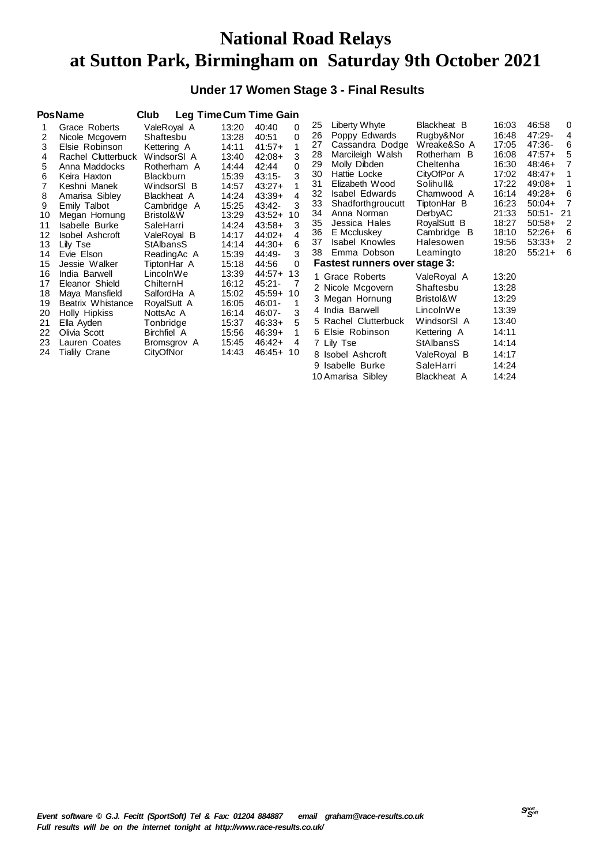# **National Road Relays at Sutton Park, Birmingham on Saturday 9th October 2021**

### **Under 17 Women Stage 3 - Final Results**

|    | <b>PosName</b>         | Club             |       | <b>Leg Time Cum Time Gain</b> |    |                                      |                  |       |              |   |
|----|------------------------|------------------|-------|-------------------------------|----|--------------------------------------|------------------|-------|--------------|---|
|    | Grace Roberts          | ValeRoyal A      | 13:20 | 40:40<br>0                    | 25 | Liberty Whyte                        | Blackheat B      | 16:03 | 46:58        | 0 |
|    | Nicole Mcgovern        | Shaftesbu        | 13:28 | 0<br>40:51                    | 26 | Poppy Edwards                        | Rugby&Nor        | 16:48 | 47:29-       | 4 |
| 3  | Elsie Robinson         | Kettering A      | 14:11 | 1<br>$41:57+$                 | 27 | Cassandra Dodge                      | Wreake&So A      | 17:05 | 47:36-       | 6 |
| 4  | Rachel Clutterbuck     | WindsorSI A      | 13:40 | 3<br>42:08+                   | 28 | Marcileigh Walsh                     | Rotherham B      | 16:08 | $47:57+$     | 5 |
| 5  | Anna Maddocks          | Rotherham A      | 14:44 | 42:44<br>0                    | 29 | Molly Dibden                         | Cheltenha        | 16:30 | 48:46+       |   |
| 6  | Keira Haxton           | <b>Blackburn</b> | 15:39 | 3<br>43:15-                   | 30 | Hattie Locke                         | CityOfPor A      | 17:02 | $48:47+$     |   |
|    | Keshni Manek           | WindsorSI B      | 14:57 | $43:27+$                      | 31 | Elizabeth Wood                       | Solihull&        | 17:22 | $49:08+$     |   |
| 8  | Amarisa Sibley         | Blackheat A      | 14:24 | 4<br>$43:39+$                 | 32 | <b>Isabel Edwards</b>                | Charnwood A      | 16:14 | $49:28+$     | 6 |
| 9  | Emily Talbot           | Cambridge A      | 15:25 | 3<br>43:42-                   | 33 | Shadforthgroucutt                    | TiptonHar B      | 16:23 | $50:04+$     | 7 |
| 10 | Megan Hornung          | Bristol&W        | 13:29 | $43:52+$<br>10                | 34 | Anna Norman                          | <b>DerbyAC</b>   | 21:33 | $50:51 - 21$ |   |
| 11 | Isabelle Burke         | SaleHarri        | 14:24 | 3<br>$43:58+$                 | 35 | Jessica Hales                        | RoyalSutt B      | 18:27 | $50:58+$     | 2 |
| 12 | <b>Isobel Ashcroft</b> | ValeRoyal B      | 14:17 | $44:02+$<br>4                 | 36 | E Mccluskey                          | Cambridge B      | 18:10 | $52:26+$     | 6 |
| 13 | Lily Tse               | StAlbansS        | 14:14 | $44:30+$<br>6                 | 37 | <b>Isabel Knowles</b>                | Halesowen        | 19:56 | $53:33+$     | 2 |
| 14 | Evie Elson             | ReadingAc A      | 15:39 | 44:49-                        | 38 | Emma Dobson                          | Leamingto        | 18:20 | $55:21+$     | 6 |
| 15 | Jessie Walker          | TiptonHar A      | 15:18 | 44:56<br>$\Omega$             |    | <b>Fastest runners over stage 3:</b> |                  |       |              |   |
| 16 | India Barwell          | LincolnWe        | 13:39 | 44:57+ 13                     |    | 1 Grace Roberts                      | ValeRoyal A      | 13:20 |              |   |
| 17 | Eleanor Shield         | ChilternH        | 16:12 | 45:21-<br>7                   |    | 2 Nicole Mcgovern                    | Shaftesbu        | 13:28 |              |   |
| 18 | Maya Mansfield         | SalfordHa A      | 15:02 | 45:59+ 10                     |    | 3 Megan Hornung                      | Bristol&W        | 13:29 |              |   |
| 19 | Beatrix Whistance      | RoyalSutt A      | 16:05 | 46:01-                        |    |                                      |                  |       |              |   |
| 20 | Holly Hipkiss          | NottsAc A        | 16:14 | 3<br>46:07-                   |    | 4 India Barwell                      | LincolnWe        | 13:39 |              |   |
| 21 | Ella Ayden             | Tonbridge        | 15:37 | $46:33+$                      |    | 5 Rachel Clutterbuck                 | WindsorSI A      | 13:40 |              |   |
| 22 | Olivia Scott           | Birchfiel A      | 15:56 | $46:39+$                      |    | 6 Elsie Robinson                     | Kettering A      | 14:11 |              |   |
| 23 | Lauren Coates          | Bromsgrov A      | 15:45 | 46:42+<br>4                   |    | 7 Lily Tse                           | <b>StAlbansS</b> | 14:14 |              |   |
| 24 | Tialily Crane          | CityOfNor        | 14:43 | 46:45+ 10                     |    | 8 Isobel Ashcroft                    | ValeRoyal B      | 14:17 |              |   |
|    |                        |                  |       |                               |    | 9 Isabelle Burke                     | SaleHarri        | 14:24 |              |   |
|    |                        |                  |       |                               |    | 10 Amarisa Sibley                    | Blackheat A      | 14:24 |              |   |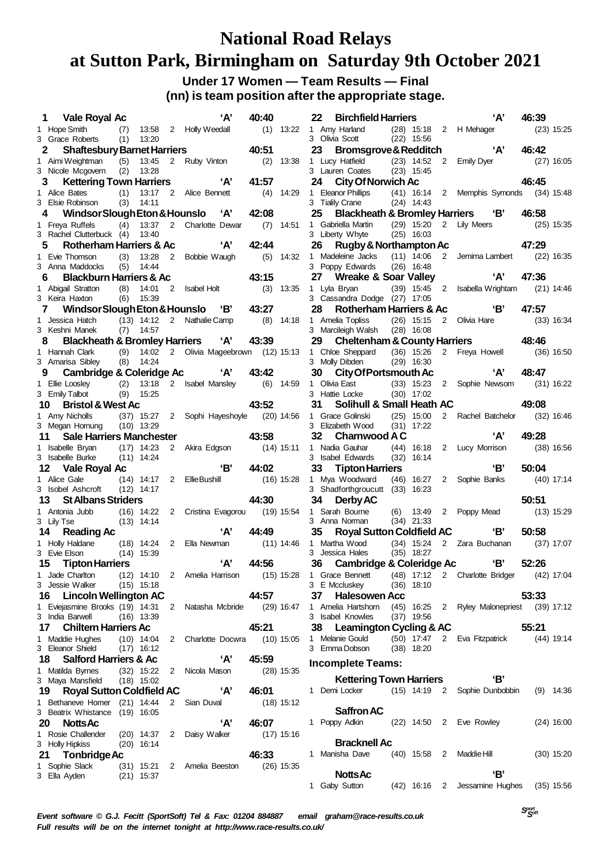### **National Road Relays at Sutton Park, Birmingham on Saturday 9th October 2021 Under 17 Women — Team Results — Final**

**(nn) is team position after the appropriate stage.**

| 1  | Vale Royal Ac                                              |     |                              |                | A'                                   | 40:40        |              | 22 | <b>Birchfield Harriers</b>                                  |                |             | A'                                         | 46:39 |              |
|----|------------------------------------------------------------|-----|------------------------------|----------------|--------------------------------------|--------------|--------------|----|-------------------------------------------------------------|----------------|-------------|--------------------------------------------|-------|--------------|
|    | 1 Hope Smith                                               | (7) |                              |                | 13:58 2 Holly Weedall                |              | $(1)$ 13:22  |    | 1 Amy Harland                                               |                |             | (28) 15:18 2 H Mehager                     |       | $(23)$ 15:25 |
| 2  | 3 Grace Roberts<br><b>Shaftesbury Barnet Harriers</b>      | (1) | 13:20                        |                |                                      | 40:51        |              | 23 | 3 Olivia Scott<br>Bromsgrove & Redditch                     | $(22)$ 15:56   |             | 'А'                                        | 46:42 |              |
|    | 1 Aimi Weightman                                           | (5) | 13:45                        |                | 2 Ruby Vinton                        |              | $(2)$ 13:38  |    | 1 Lucy Hatfield                                             |                |             | (23) 14:52 2 Emily Dyer                    |       | $(27)$ 16:05 |
|    | 3 Nicole Mcgovern                                          | (2) | 13:28                        |                |                                      |              |              |    | 3 Lauren Coates                                             | $(23)$ 15:45   |             |                                            |       |              |
| 3  | <b>Kettering Town Harriers</b>                             |     |                              |                | ʻA'                                  | 41:57        |              | 24 | <b>City Of Norwich Ac</b>                                   |                |             |                                            | 46:45 |              |
|    | 1 Alice Bates                                              | (1) | 13:17                        |                | 2 Alice Bennett                      | (4)          | 14:29        |    | 1 Eleanor Phillips                                          |                |             | (41) 16:14 2 Memphis Symonds (34) 15:48    |       |              |
|    | 3 Elsie Robinson                                           | (3) | 14:11                        |                |                                      | 42:08        |              | 25 | 3 Tialily Crane<br>Blackheath & Bromley Harriers 'B'        | $(24)$ 14:43   |             |                                            | 46:58 |              |
| 4  | Windsor Slough Eton & Hounslo<br>1 Freya Ruffels           | (4) | 13:37                        |                | 'А'<br>2 Charlotte Dewar             | (7)          | 14:51        |    | 1 Gabriella Martin                                          | $(29)$ 15:20   | 2           | Lily Meers                                 |       | $(25)$ 15:35 |
|    | 3 Rachel Clutterbuck (4)                                   |     | 13:40                        |                |                                      |              |              |    | 3 Liberty Whyte                                             | $(25)$ 16:03   |             |                                            |       |              |
| 5  | <b>Rotherham Harriers &amp; Ac</b>                         |     |                              |                | ʻA'                                  | 42:44        |              | 26 | Rugby & Northampton Ac                                      |                |             |                                            | 47:29 |              |
|    | 1 Evie Thomson                                             | (3) | 13:28                        | 2              | Bobbie Waugh                         |              | $(5)$ 14:32  |    | 1 Madeleine Jacks                                           | $(11)$ 14:06   |             | 2 Jemima Lambert                           |       | $(22)$ 16:35 |
| 6  | 3 Anna Maddocks                                            | (5) | 14:44                        |                |                                      | 43:15        |              | 27 | 3 Poppy Edwards                                             | $(26)$ 16:48   |             | ʻA'                                        | 47:36 |              |
|    | <b>Blackburn Harriers &amp; Ac</b><br>1 Abigail Stratton   | (8) | 14:01                        | 2              | Isabel Holt                          | (3)          | 13:35        |    | <b>Wreake &amp; Soar Valley</b><br>1 Lyla Bryan             | $(39)$ 15:45 2 |             | Isabella Wrightam                          |       | $(21)$ 14:46 |
|    | 3 Keira Haxton                                             | (6) | 15:39                        |                |                                      |              |              |    | 3 Cassandra Dodge (27) 17:05                                |                |             |                                            |       |              |
| 7  | Windsor Slough Eton & Hounslo                              |     |                              |                | <u>"В'</u>                           | 43:27        |              | 28 | Rotherham Harriers & Ac                                     |                |             | 'В'                                        | 47:57 |              |
|    | 1 Jessica Hatch                                            |     | $(13)$ 14:12                 |                | 2 Nathalie Camp                      |              | $(8)$ 14:18  |    | 1 Amelia Topliss                                            | $(26)$ 15:15   |             | 2 Olivia Hare                              |       | $(33)$ 16:34 |
|    | 3 Keshni Manek<br><b>Blackheath &amp; Bromley Harriers</b> | (7) | 14:57                        |                | ʻA'                                  | 43:39        |              | 29 | 3 Marcileigh Walsh                                          | $(28)$ 16:08   |             |                                            | 48:46 |              |
| 8  | 1 Hannah Clark                                             | (9) |                              |                | 14:02 2 Olivia Mageebrown (12) 15:13 |              |              |    | <b>Cheltenham &amp; County Harriers</b><br>1 Chloe Sheppard | $(36)$ 15:26   |             | 2 Freya Howell                             |       | $(36)$ 16:50 |
|    | 3 Amarisa Sibley                                           | (8) | 14:24                        |                |                                      |              |              |    | 3 Molly Dibden                                              | $(29)$ 16:30   |             |                                            |       |              |
| 9  | <b>Cambridge &amp; Coleridge Ac</b>                        |     |                              |                | A'                                   | 43:42        |              | 30 | <b>City Of Portsmouth Ac</b>                                |                |             | A'                                         | 48:47 |              |
|    | 1 Ellie Loosley                                            | (2) | 13:18                        |                | 2 Isabel Mansley                     |              | $(6)$ 14:59  |    | 1 Olivia East                                               |                |             | (33) 15:23 2 Sophie Newsom                 |       | $(31)$ 16:22 |
| 10 | 3 Emily Talbot<br><b>Bristol &amp; West Ac</b>             |     | $(9)$ 15:25                  |                |                                      | 43:52        |              | 31 | 3 Hattie Locke<br>Solihull & Small Heath AC                 | $(30)$ 17:02   |             |                                            | 49:08 |              |
|    | 1 Amy Nicholls                                             |     | $(37)$ 15:27                 |                | 2 Sophi Hayeshoyle                   |              | $(20)$ 14:56 |    | 1 Grace Golinski                                            | $(25)$ 15:00   |             | 2 Rachel Batchelor                         |       | $(32)$ 16:46 |
|    | 3 Megan Homung                                             |     | $(10)$ 13:29                 |                |                                      |              |              |    | 3 Elizabeth Wood                                            | $(31)$ 17:22   |             |                                            |       |              |
| 11 | <b>Sale Harriers Manchester</b>                            |     |                              |                |                                      | 43:58        |              | 32 | Charnwood A C                                               |                |             | A'                                         | 49:28 |              |
|    | 1 Isabelle Bryan                                           |     | $(17)$ 14:23                 | 2              | Akira Edgson                         |              | $(14)$ 15:11 |    | 1 Nadia Gauhar                                              |                |             | (44) 16:18 2 Lucy Morrison                 |       | $(38)$ 16:56 |
| 12 | 3 Isabelle Burke<br>Vale Royal Ac                          |     | $(11)$ 14:24                 |                | 'В'                                  | 44:02        |              | 33 | 3 Isabel Edwards<br><b>Tipton Harriers</b>                  | $(32)$ 16:14   |             | 'В'                                        | 50:04 |              |
|    | 1 Alice Gale                                               |     | $(14)$ 14:17                 | $\overline{2}$ | <b>Ellie Bushill</b>                 |              | $(16)$ 15:28 |    | 1 Mya Woodward                                              | $(46)$ 16:27   | $2^{\circ}$ | Sophie Banks                               |       | $(40)$ 17:14 |
|    | 3 Isobel Ashcroft                                          |     | $(12)$ 14:17                 |                |                                      |              |              |    | 3 Shadforthgroucutt (33) 16:23                              |                |             |                                            |       |              |
| 13 | <b>St Albans Striders</b>                                  |     |                              |                |                                      | 44:30        |              | 34 | Derby AC                                                    |                |             |                                            | 50:51 |              |
|    | 1 Antonia Jubb                                             |     |                              |                | (16) 14:22 2 Cristina Evagorou       |              | $(19)$ 15:54 |    | 1 Sarah Bourne                                              | $(6)$ 13:49    |             | 2 Poppy Mead                               |       | $(13)$ 15:29 |
| 14 | 3 Lily Tse<br><b>Reading Ac</b>                            |     | $(13)$ 14:14                 |                | ʻA'                                  | 44:49        |              | 35 | 3 Anna Norman<br><b>Royal Sutton Coldfield AC</b>           | $(34)$ 21:33   |             | 'В'                                        | 50:58 |              |
|    | 1 Holly Haldane                                            |     | $(18)$ 14:24                 |                | 2 Ella Newman                        |              | (11) 14:46   |    | 1 Martha Wood                                               | $(34)$ 15:24   |             | 2 Zara Buchanan                            |       | $(37)$ 17:07 |
|    | 3 Evie Elson                                               |     | $(14)$ 15:39                 |                |                                      |              |              |    | 3 Jessica Hales                                             | $(35)$ 18:27   |             |                                            |       |              |
| 15 | <b>Tipton Harriers</b>                                     |     |                              |                | A'                                   | 44:56        |              | 36 | <b>Cambridge &amp; Coleridge Ac</b>                         |                |             | 'В'                                        | 52:26 |              |
|    | 1 Jade Charlton                                            |     |                              |                | (12) 14:10 2 Amelia Harrison         | $(15)$ 15:28 |              |    | 1 Grace Bennett                                             |                |             | (48) 17:12 2 Charlotte Bridger (42) 17:04  |       |              |
| 16 | 3 Jessie Walker<br><b>Lincoln Wellington AC</b>            |     | $(15)$ 15:18                 |                |                                      | 44:57        |              | 37 | 3 E Mccluskey<br><b>Halesowen Acc</b>                       | $(36)$ 18:10   |             |                                            | 53:33 |              |
|    | 1 Eviejasmine Brooks (19) 14:31                            |     |                              |                | 2 Natasha Mcbride                    |              | $(29)$ 16:47 |    | 1 Amelia Hartshorn                                          |                |             | (45) 16:25 2 Ryley Malonepriest (39) 17:12 |       |              |
|    | 3 India Barwell                                            |     | $(16)$ 13:39                 |                |                                      |              |              |    | 3 Isabel Knowles                                            | $(37)$ 19:56   |             |                                            |       |              |
|    | 17 Chiltern Harriers Ac                                    |     |                              |                |                                      | 45:21        |              |    | 38 Leamington Cycling & AC                                  |                |             |                                            | 55:21 |              |
|    | 1 Maddie Hughes<br>3 Eleanor Shield                        |     | $(10)$ 14:04                 |                | 2 Charlotte Docwra                   |              | $(10)$ 15:05 |    | 1 Melanie Gould<br>3 Emma Dobson                            |                |             | (50) 17:47 2 Eva Fitzpatrick               |       | $(44)$ 19:14 |
| 18 | Salford Harriers & Ac                                      |     | $(17)$ 16:12                 |                | ʻA'                                  | 45:59        |              |    |                                                             | $(38)$ 18:20   |             |                                            |       |              |
|    | 1 Matilda Byrnes                                           |     |                              |                | (32) 15:22 2 Nicola Mason            |              | $(28)$ 15:35 |    | <b>Incomplete Teams:</b>                                    |                |             |                                            |       |              |
|    | 3 Maya Mansfield                                           |     | $(18)$ 15:02                 |                |                                      |              |              |    | <b>Kettering Town Harriers</b>                              |                |             | 'Β'                                        |       |              |
| 19 | <b>Royal Sutton Coldfield AC</b>                           |     |                              |                | ʻA'                                  | 46:01        |              |    | 1 Demi Locker                                               |                |             | (15) 14:19 2 Sophie Dunbobbin              |       | $(9)$ 14:36  |
|    | 1 Bethaneve Homer (21) 14:44                               |     |                              |                | 2 Sian Duval                         |              | $(18)$ 15:12 |    | Saffron AC                                                  |                |             |                                            |       |              |
| 20 | 3 Beatrix Whistance<br><b>Notts Ac</b>                     |     | $(19)$ 16:05                 |                | ʻA'                                  | 46:07        |              |    | 1 Poppy Adkin                                               |                |             | (22) 14:50 2 Eve Rowley                    |       | $(24)$ 16:00 |
|    | 1 Rosie Challender                                         |     |                              |                | $(20)$ 14:37 2 Daisy Walker          |              | $(17)$ 15:16 |    |                                                             |                |             |                                            |       |              |
|    | 3 Holly Hipkiss                                            |     | $(20)$ 16:14                 |                |                                      |              |              |    | <b>Bracknell Ac</b>                                         |                |             |                                            |       |              |
|    | 21 Tonbridge Ac                                            |     |                              |                |                                      | 46:33        |              |    | 1 Manisha Dave                                              |                |             | (40) 15:58 2 Maddie Hill                   |       | $(30)$ 15:20 |
|    | 1 Sophie Slack<br>3 Ella Ayden                             |     | $(31)$ 15:21<br>$(21)$ 15:37 |                | 2 Amelia Beeston                     |              | $(26)$ 15:35 |    | <b>Notts Ac</b>                                             |                |             | 'В'                                        |       |              |
|    |                                                            |     |                              |                |                                      |              |              |    | 1 Gaby Sutton                                               |                |             | (42) 16:16 2 Jessamine Hughes              |       | $(35)$ 15:56 |